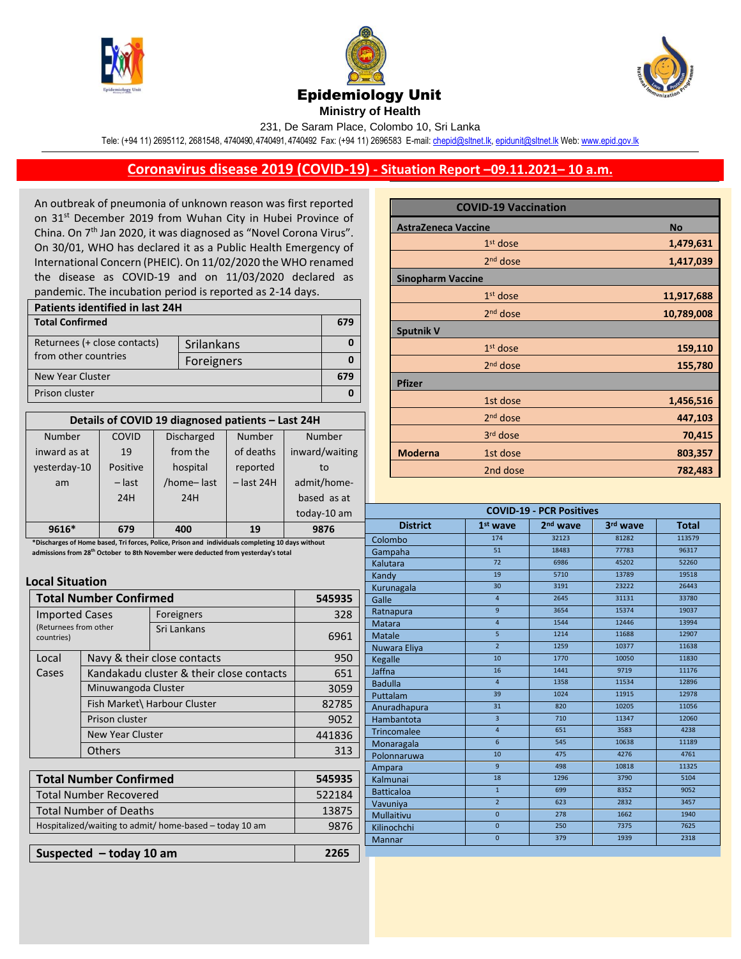





**Ministry of Health** 

231, De Saram Place, Colombo 10, Sri Lanka

Tele: (+94 11) 2695112, 2681548, 4740490, 4740491, 4740492 Fax: (+94 11) 2696583 E-mail[: chepid@sltnet.lk,](mailto:chepi@sltnet.lk) [epidunit@sltnet.lk](mailto:epidunit@sltnet.lk) Web[: www.epid.gov.lk](http://www.epid.gov.lk/)

## **Coronavirus disease 2019 (COVID-19) - Situation Report –09.11.2021– 10 a.m.**

An outbreak of pneumonia of unknown reason was first reported on 31<sup>st</sup> December 2019 from Wuhan City in Hubei Province of China. On 7<sup>th</sup> Jan 2020, it was diagnosed as "Novel Corona Virus". On 30/01, WHO has declared it as a Public Health Emergency of International Concern (PHEIC). On 11/02/2020 the WHO renamed the disease as COVID-19 and on 11/03/2020 declared as pandemic. The incubation period is reported as 2-14 days.

| Patients identified in last 24H |            |  |  |
|---------------------------------|------------|--|--|
| <b>Total Confirmed</b>          |            |  |  |
| Returnees (+ close contacts)    | Srilankans |  |  |
| from other countries            | Foreigners |  |  |
| New Year Cluster                |            |  |  |
| Prison cluster                  |            |  |  |

| Details of COVID 19 diagnosed patients - Last 24H |          |                   |              |                |
|---------------------------------------------------|----------|-------------------|--------------|----------------|
| Number                                            | COVID    | <b>Discharged</b> | Number       | Number         |
| inward as at                                      | 19       | from the          | of deaths    | inward/waiting |
| yesterday-10                                      | Positive | hospital          | reported     | to             |
| am                                                | $-$ last | /home-last        | $-$ last 24H | admit/home-    |
|                                                   | 24H      | 24H               |              | based as at    |
|                                                   |          |                   |              | today-10 am    |
| 9616*                                             | 679      | 400               | 19           | 9876           |

 **admissions from 28 th October to 8th November were deducted from yesterday's total\*Discharges of Home based, Tri forces, Police, Prison and individuals completing 10 days without** 

## **Local Situation**

| <b>Total Number Confirmed</b>                                |                              |                                          | 545935 |
|--------------------------------------------------------------|------------------------------|------------------------------------------|--------|
| <b>Imported Cases</b><br>(Returnees from other<br>countries) |                              | Foreigners                               | 328    |
|                                                              |                              | Sri Lankans                              | 6961   |
| Local                                                        | Navy & their close contacts  |                                          | 950    |
| Cases                                                        |                              | Kandakadu cluster & their close contacts | 651    |
|                                                              | Minuwangoda Cluster          |                                          | 3059   |
|                                                              | Fish Market\ Harbour Cluster |                                          | 82785  |
|                                                              | Prison cluster               |                                          | 9052   |
|                                                              | New Year Cluster             |                                          | 441836 |
|                                                              | Others                       |                                          | 313    |
|                                                              |                              |                                          |        |
| <b>Total Number Confirmed</b>                                |                              |                                          | 545935 |
| Total Number Recovered                                       |                              | 522184                                   |        |
| Total Number of Deaths                                       |                              | 13875                                    |        |
| Hospitalized/waiting to admit/ home-based - today 10 am      |                              | 9876                                     |        |

**Suspected – today 10 am 2265** 

|                            | <b>COVID-19 Vaccination</b> |            |
|----------------------------|-----------------------------|------------|
| <b>AstraZeneca Vaccine</b> |                             | <b>No</b>  |
|                            | $1st$ dose                  | 1,479,631  |
|                            | $2nd$ dose                  | 1,417,039  |
| <b>Sinopharm Vaccine</b>   |                             |            |
|                            | $1st$ dose                  | 11,917,688 |
|                            | $2nd$ dose                  | 10,789,008 |
| <b>Sputnik V</b>           |                             |            |
|                            | $1st$ dose                  | 159,110    |
|                            | 2 <sup>nd</sup> dose        | 155,780    |
| <b>Pfizer</b>              |                             |            |
|                            | 1st dose                    | 1,456,516  |
|                            | 2 <sup>nd</sup> dose        | 447,103    |
|                            | 3rd dose                    | 70,415     |
| <b>Moderna</b>             | 1st dose                    | 803,357    |
|                            | 2nd dose                    | 782,483    |

| <b>COVID-19 - PCR Positives</b> |                 |                      |          |              |
|---------------------------------|-----------------|----------------------|----------|--------------|
| <b>District</b>                 | $1st$ wave      | 2 <sup>nd</sup> wave | 3rd wave | <b>Total</b> |
| Colombo                         | 174             | 32123                | 81282    | 113579       |
| Gampaha                         | $\overline{51}$ | 18483                | 77783    | 96317        |
| Kalutara                        | 72              | 6986                 | 45202    | 52260        |
| Kandy                           | 19              | 5710                 | 13789    | 19518        |
| Kurunagala                      | 30              | 3191                 | 23222    | 26443        |
| Galle                           | $\overline{4}$  | 2645                 | 31131    | 33780        |
| Ratnapura                       | $\overline{9}$  | 3654                 | 15374    | 19037        |
| Matara                          | $\overline{4}$  | 1544                 | 12446    | 13994        |
| Matale                          | $\overline{5}$  | 1214                 | 11688    | 12907        |
| Nuwara Eliya                    | $\overline{2}$  | 1259                 | 10377    | 11638        |
| Kegalle                         | 10              | 1770                 | 10050    | 11830        |
| Jaffna                          | 16              | 1441                 | 9719     | 11176        |
| <b>Badulla</b>                  | $\overline{a}$  | 1358                 | 11534    | 12896        |
| Puttalam                        | 39              | 1024                 | 11915    | 12978        |
| Anuradhapura                    | 31              | 820                  | 10205    | 11056        |
| Hambantota                      | $\overline{3}$  | 710                  | 11347    | 12060        |
| Trincomalee                     | $\overline{4}$  | 651                  | 3583     | 4238         |
| Monaragala                      | $6\overline{6}$ | 545                  | 10638    | 11189        |
| Polonnaruwa                     | 10              | 475                  | 4276     | 4761         |
| Ampara                          | $\mathsf{q}$    | 498                  | 10818    | 11325        |
| Kalmunai                        | 18              | 1296                 | 3790     | 5104         |
| <b>Batticaloa</b>               | $\mathbf{1}$    | 699                  | 8352     | 9052         |
| Vavuniya                        | $\overline{2}$  | 623                  | 2832     | 3457         |
| <b>Mullaitivu</b>               | $\overline{0}$  | 278                  | 1662     | 1940         |
| Kilinochchi                     | $\mathbf{0}$    | 250                  | 7375     | 7625         |
| <b>Mannar</b>                   | $\pmb{0}$       | 379                  | 1939     | 2318         |